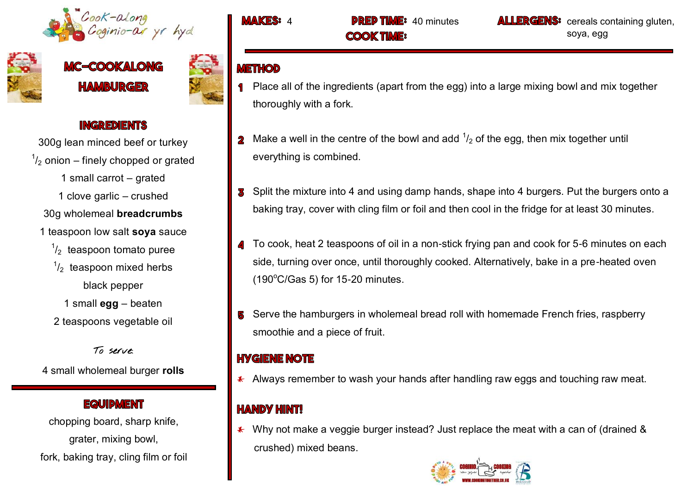



# **-COOKALONG HAMBURGER**



### **INGREDIENTS**

300g lean minced beef or turkey  $\frac{1}{2}$  onion – finely chopped or grated 1 small carrot – grated 1 clove garlic – crushed 30g wholemeal **breadcrumbs** 1 teaspoon low salt **soya** sauce  $\frac{1}{2}$  teaspoon tomato puree  $\frac{1}{2}$  teaspoon mixed herbs black pepper 1 small **egg** – beaten

2 teaspoons vegetable oil

To serve:

4 small wholemeal burger **rolls** 

#### **EQUIDMENT**

chopping board, sharp knife, grater, mixing bowl, fork, baking tray, cling film or foil

**COOK TIME:** 

**MAKES:** 4 **DREP TIME:** 40 minutes **ALLERGENS:** cereals containing gluten, soya, egg

## **METHOD**

- Place all of the ingredients (apart from the egg) into a large mixing bowl and mix together thoroughly with a fork.
- Make a well in the centre of the bowl and add  $\frac{1}{2}$  of the egg, then mix together until everything is combined.
- Split the mixture into 4 and using damp hands, shape into 4 burgers. Put the burgers onto a baking tray, cover with cling film or foil and then cool in the fridge for at least 30 minutes.
- To cook, heat 2 teaspoons of oil in a non-stick frying pan and cook for 5-6 minutes on each side, turning over once, until thoroughly cooked. Alternatively, bake in a pre-heated oven  $(190^{\circ}$ C/Gas 5) for 15-20 minutes.
- Serve the hamburgers in wholemeal bread roll with homemade French fries, raspberry smoothie and a piece of fruit.

## **HYGIENE NOTE**

 $*$  Always remember to wash your hands after handling raw eggs and touching raw meat.

## **HANDY HINT!**

 $*$  Why not make a veggie burger instead? Just replace the meat with a can of (drained & crushed) mixed beans.

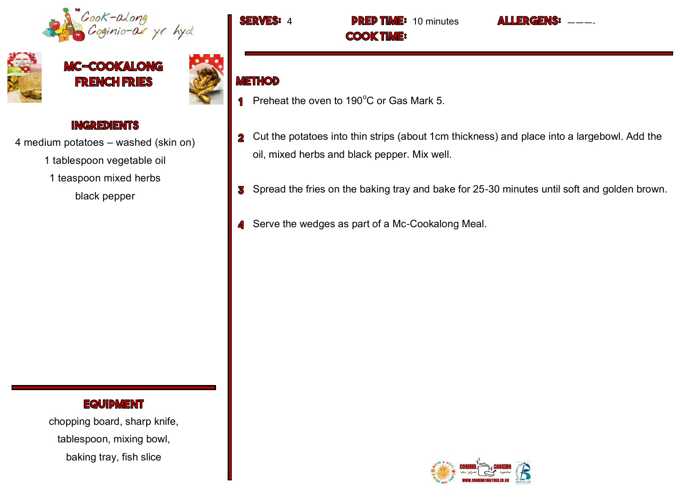



MC-COOKALONG **FRENCH FRIES** 



#### **INGREDIENTS**

4 medium potatoes – washed (skin on)

1 tablespoon vegetable oil

1 teaspoon mixed herbs

black pepper

#### **EQUIPMENT**

chopping board, sharp knife, tablespoon, mixing bowl, baking tray, fish slice

**ERVES: 4 PREP TIME: 10 minutes ALLERGENS: COOK TIME:** 

## **METHOD**

- Preheat the oven to 190 $\degree$ C or Gas Mark 5.
- 2 Cut the potatoes into thin strips (about 1cm thickness) and place into a largebowl. Add the oil, mixed herbs and black pepper. Mix well.
- S Spread the fries on the baking tray and bake for 25-30 minutes until soft and golden brown.
- 4 Serve the wedges as part of a Mc-Cookalong Meal.